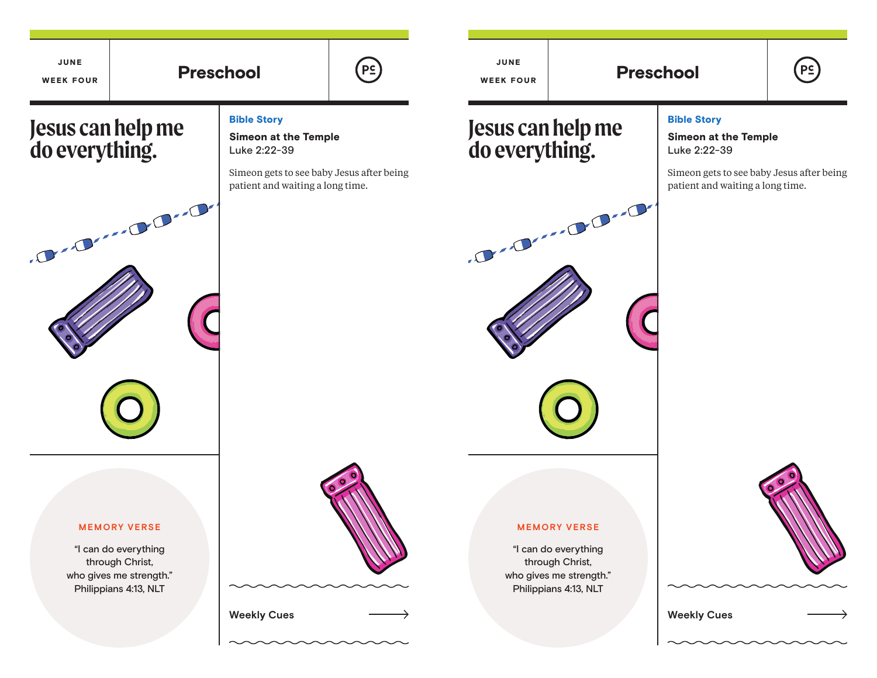